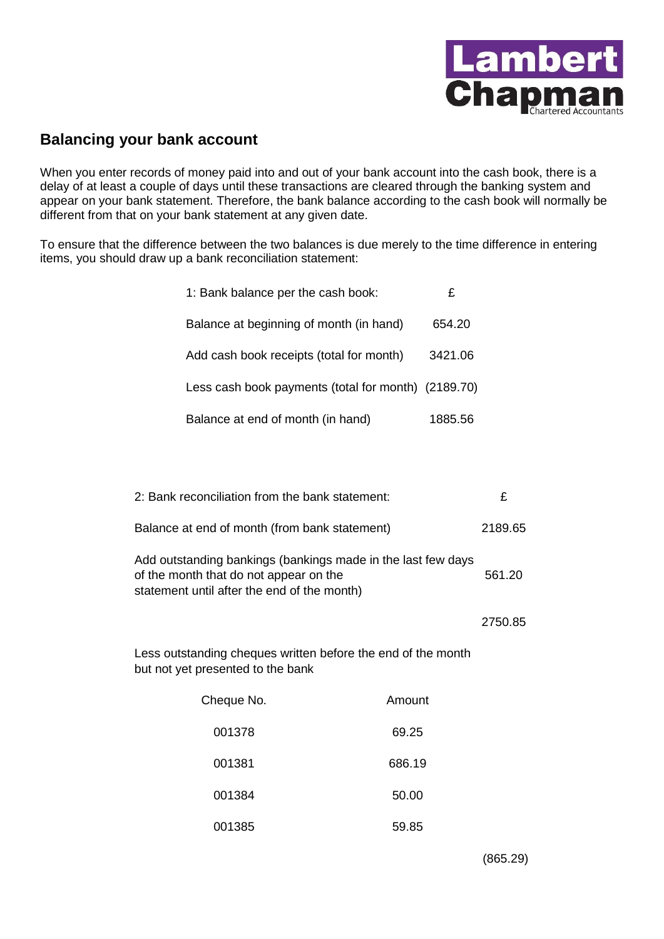

## **Balancing your bank account**

When you enter records of money paid into and out of your bank account into the cash book, there is a delay of at least a couple of days until these transactions are cleared through the banking system and appear on your bank statement. Therefore, the bank balance according to the cash book will normally be different from that on your bank statement at any given date.

To ensure that the difference between the two balances is due merely to the time difference in entering items, you should draw up a bank reconciliation statement:

| 1: Bank balance per the cash book:                  | £       |  |
|-----------------------------------------------------|---------|--|
| Balance at beginning of month (in hand)             | 654.20  |  |
| Add cash book receipts (total for month)            | 3421.06 |  |
| Less cash book payments (total for month) (2189.70) |         |  |
| Balance at end of month (in hand)                   | 1885.56 |  |

| 2: Bank reconciliation from the bank statement:                                                                                                       |        | £       |
|-------------------------------------------------------------------------------------------------------------------------------------------------------|--------|---------|
| Balance at end of month (from bank statement)                                                                                                         |        | 2189.65 |
| Add outstanding bankings (bankings made in the last few days<br>of the month that do not appear on the<br>statement until after the end of the month) |        | 561.20  |
|                                                                                                                                                       |        | 2750.85 |
| Less outstanding cheques written before the end of the month<br>but not yet presented to the bank                                                     |        |         |
| Cheque No.                                                                                                                                            | Amount |         |
| 001378                                                                                                                                                | 69.25  |         |
| 001381                                                                                                                                                | 686.19 |         |
| 001384                                                                                                                                                | 50.00  |         |
| 001385                                                                                                                                                | 59.85  |         |